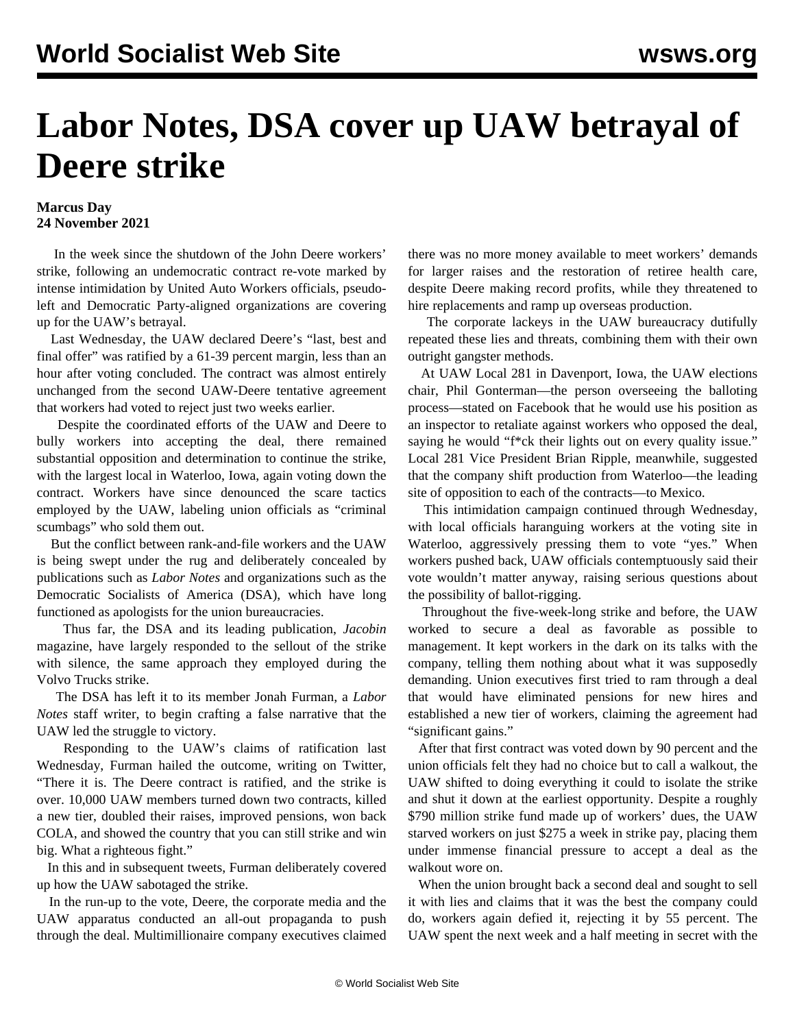## **Labor Notes, DSA cover up UAW betrayal of Deere strike**

## **Marcus Day 24 November 2021**

 In the week since the shutdown of the John Deere workers' strike, following an [undemocratic contract re-vote](/en/articles/2021/11/18/deer-n18.html) marked by intense intimidation by United Auto Workers officials, pseudoleft and Democratic Party-aligned organizations are covering up for the UAW's betrayal.

 Last Wednesday, the UAW declared Deere's "last, best and final offer" was ratified by a 61-39 percent margin, less than an hour after voting concluded. The contract was almost entirely unchanged from the second UAW-Deere tentative agreement that workers had voted to reject just two weeks earlier.

 Despite the coordinated efforts of the UAW and Deere to bully workers into accepting the deal, there remained substantial opposition and determination to continue the strike, with the largest local in Waterloo, Iowa, again voting down the contract. Workers have since denounced the scare tactics employed by the UAW, labeling union officials as "[criminal](/en/articles/2021/11/22/deer-n22.html) [scumbags"](/en/articles/2021/11/22/deer-n22.html) who sold them out.

 But the conflict between rank-and-file workers and the UAW is being swept under the rug and deliberately concealed by publications such as *Labor Notes* and organizations such as the Democratic Socialists of America (DSA), which have long functioned as apologists for the union bureaucracies.

 Thus far, the DSA and its leading publication, *Jacobin* magazine, have largely responded to the sellout of the strike with silence, the [same approach they employed during the](/en/articles/2021/07/13/left-j13.html) [Volvo Trucks strike](/en/articles/2021/07/13/left-j13.html).

 The DSA has left it to its member Jonah Furman, a *Labor Notes* staff writer, to begin crafting a false narrative that the UAW led the struggle to victory.

 Responding to the UAW's claims of ratification last Wednesday, Furman hailed the outcome, writing on Twitter, "There it is. The Deere contract is ratified, and the strike is over. 10,000 UAW members turned down two contracts, killed a new tier, doubled their raises, improved pensions, won back COLA, and showed the country that you can still strike and win big. What a righteous fight."

 In this and in subsequent tweets, Furman deliberately covered up how the UAW sabotaged the strike.

 In the run-up to the vote, Deere, the corporate media and the UAW apparatus conducted an all-out propaganda to push through the deal. Multimillionaire company executives claimed there was no more money available to meet workers' demands for larger raises and the restoration of retiree health care, despite Deere making record profits, while they threatened to hire replacements and ramp up overseas production.

 The corporate lackeys in the UAW bureaucracy dutifully repeated these lies and threats, combining them with their own outright gangster methods.

 At UAW Local 281 in Davenport, Iowa, the UAW elections chair, Phil Gonterman—the person overseeing the balloting process—stated on Facebook that he would use his position as an inspector to retaliate against workers who opposed the deal, saying he would "f\*ck their lights out on every quality issue." Local 281 Vice President Brian Ripple, meanwhile, suggested that the company shift production from Waterloo—the leading site of opposition to each of the contracts—to Mexico.

 This intimidation campaign continued through Wednesday, with local officials haranguing workers at the voting site in Waterloo, aggressively pressing them to vote "yes." When workers pushed back, UAW officials contemptuously said their vote wouldn't matter anyway, raising serious questions about the possibility of ballot-rigging.

 Throughout the five-week-long strike and before, the UAW worked to secure a deal as favorable as possible to management. It kept workers in the dark on its talks with the company, telling them nothing about what it was supposedly demanding. Union executives first tried to ram through a deal that would have eliminated pensions for new hires and established a new tier of workers, claiming the agreement had "significant gains."

 After that first contract was voted down by 90 percent and the union officials felt they had no choice but to call a walkout, the UAW shifted to doing everything it could to isolate the strike and shut it down at the earliest opportunity. Despite a roughly \$790 million strike fund made up of workers' dues, the UAW starved workers on just \$275 a week in strike pay, placing them under immense financial pressure to accept a deal as the walkout wore on.

 When the union brought back a second deal and sought to sell it with lies and claims that it was the best the company could do, workers again defied it, rejecting it by 55 percent. The UAW spent the next week and a half meeting in secret with the